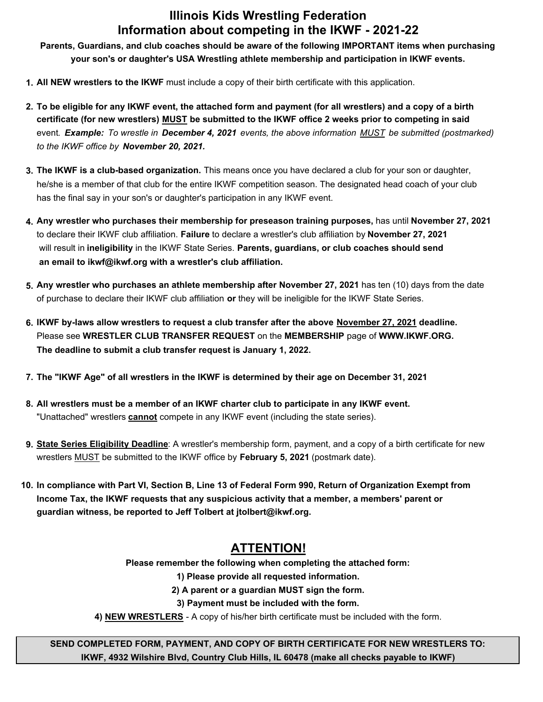## **Illinois Kids Wrestling Federation Information about competing in the IKWF - 2021-22**

**Parents, Guardians, and club coaches should be aware of the following IMPORTANT items when purchasing your son's or daughter's USA Wrestling athlete membership and participation in IKWF events.**

- **1. All NEW wrestlers to the IKWF** must include a copy of their birth certificate with this application.
- **2. To be eligible for any IKWF event, the attached form and payment (for all wrestlers) and a copy of a birth certificate (for new wrestlers) MUST be submitted to the IKWF office 2 weeks prior to competing in said** event*. Example: To wrestle in December 4, 2021 events, the above information MUST be submitted (postmarked) to the IKWF office by November 20, 2021.*
- **3. The IKWF is a club-based organization.** This means once you have declared a club for your son or daughter, he/she is a member of that club for the entire IKWF competition season. The designated head coach of your club has the final say in your son's or daughter's participation in any IKWF event.
- **4. Any wrestler who purchases their membership for preseason training purposes,** has until **November 27, 2021** to declare their IKWF club affiliation. **Failure** to declare a wrestler's club affiliation by **November 27, 2021** will result in **ineligibility** in the IKWF State Series. **Parents, guardians, or club coaches should send an email to ikwf@ikwf.org with a wrestler's club affiliation.**
- **5. Any wrestler who purchases an athlete membership after November 27, 2021** has ten (10) days from the date of purchase to declare their IKWF club affiliation **or** they will be ineligible for the IKWF State Series.
- **6. IKWF by-laws allow wrestlers to request a club transfer after the above November 27, 2021 deadline.** Please see **WRESTLER CLUB TRANSFER REQUEST** on the **MEMBERSHIP** page of **WWW.IKWF.ORG. The deadline to submit a club transfer request is January 1, 2022.**
- **7. The "IKWF Age" of all wrestlers in the IKWF is determined by their age on December 31, 2021**
- **8. All wrestlers must be a member of an IKWF charter club to participate in any IKWF event.** "Unattached" wrestlers **cannot** compete in any IKWF event (including the state series).
- **9. State Series Eligibility Deadline**: A wrestler's membership form, payment, and a copy of a birth certificate for new wrestlers MUST be submitted to the IKWF office by **February 5, 2021** (postmark date).
- **10. In compliance with Part VI, Section B, Line 13 of Federal Form 990, Return of Organization Exempt from Income Tax, the IKWF requests that any suspicious activity that a member, a members' parent or guardian witness, be reported to Jeff Tolbert at jtolbert@ikwf.org.**

## **ATTENTION!**

**Please remember the following when completing the attached form:**

**1) Please provide all requested information.**

**2) A parent or a guardian MUST sign the form.**

**3) Payment must be included with the form.**

**4) NEW WRESTLERS** - A copy of his/her birth certificate must be included with the form.

**SEND COMPLETED FORM, PAYMENT, AND COPY OF BIRTH CERTIFICATE FOR NEW WRESTLERS TO: IKWF, 4932 Wilshire Blvd, Country Club Hills, IL 60478 (make all checks payable to IKWF)**